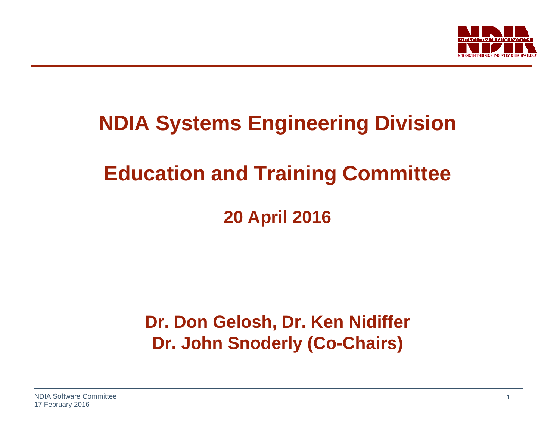

## **NDIA Systems Engineering Division**

## **Education and Training Committee**

**20 April 2016**

## **Dr. Don Gelosh, Dr. Ken Nidiffer Dr. John Snoderly (Co-Chairs)**